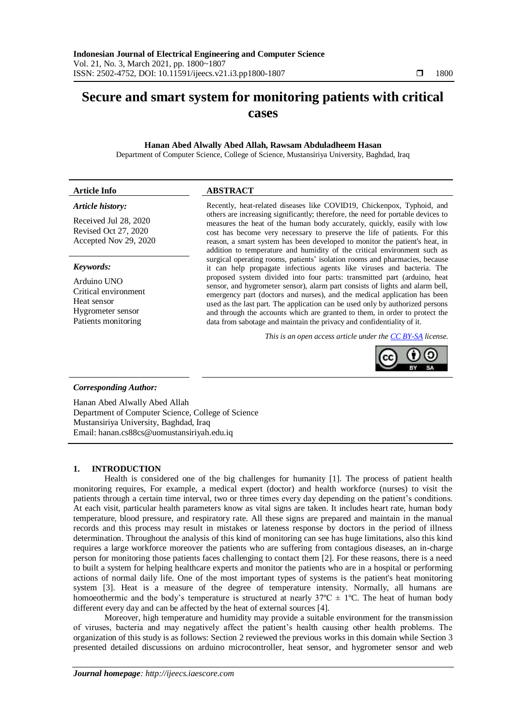# **Secure and smart system for monitoring patients with critical cases**

**Hanan Abed Alwally Abed Allah, Rawsam Abduladheem Hasan** Department of Computer Science, College of Science, Mustansiriya University, Baghdad, Iraq

# **Article Info ABSTRACT**

# *Article history:*

Received Jul 28, 2020 Revised Oct 27, 2020 Accepted Nov 29, 2020

# *Keywords:*

Arduino UNO Critical environment Heat sensor Hygrometer sensor Patients monitoring

Recently, heat-related diseases like COVID19, Chickenpox, Typhoid, and others are increasing significantly; therefore, the need for portable devices to measures the heat of the human body accurately, quickly, easily with low cost has become very necessary to preserve the life of patients. For this reason, a smart system has been developed to monitor the patient's heat, in addition to temperature and humidity of the critical environment such as surgical operating rooms, patients' isolation rooms and pharmacies, because it can help propagate infectious agents like viruses and bacteria. The proposed system divided into four parts: transmitted part (arduino, heat sensor, and hygrometer sensor), alarm part consists of lights and alarm bell, emergency part (doctors and nurses), and the medical application has been used as the last part. The application can be used only by authorized persons and through the accounts which are granted to them, in order to protect the data from sabotage and maintain the privacy and confidentiality of it.

*This is an open access article under the [CC BY-SA](https://creativecommons.org/licenses/by-sa/4.0/) license.*



# *Corresponding Author:*

Hanan Abed Alwally Abed Allah Department of Computer Science, College of Science Mustansiriya University, Baghdad, Iraq Email: hanan.cs88cs@uomustansiriyah.edu.iq

# **1. INTRODUCTION**

Health is considered one of the big challenges for humanity [1]. The process of patient health monitoring requires, For example, a medical expert (doctor) and health workforce (nurses) to visit the patients through a certain time interval, two or three times every day depending on the patient's conditions. At each visit, particular health parameters know as vital signs are taken. It includes heart rate, human body temperature, blood pressure, and respiratory rate. All these signs are prepared and maintain in the manual records and this process may result in mistakes or lateness response by doctors in the period of illness determination. Throughout the analysis of this kind of monitoring can see has huge limitations, also this kind requires a large workforce moreover the patients who are suffering from contagious diseases, an in-charge person for monitoring those patients faces challenging to contact them [2]. For these reasons, there is a need to built a system for helping healthcare experts and monitor the patients who are in a hospital or performing actions of normal daily life. One of the most important types of systems is the patient's heat monitoring system [3]. Heat is a measure of the degree of temperature intensity. Normally, all humans are homoeothermic and the body's temperature is structured at nearly  $37^{\circ}C \pm 1^{\circ}C$ . The heat of human body different every day and can be affected by the heat of external sources [4].

Moreover, high temperature and humidity may provide a suitable environment for the transmission of viruses, bacteria and may negatively affect the patient's health causing other health problems. The organization of this study is as follows: Section 2 reviewed the previous works in this domain while Section 3 presented detailed discussions on arduino microcontroller, heat sensor, and hygrometer sensor and web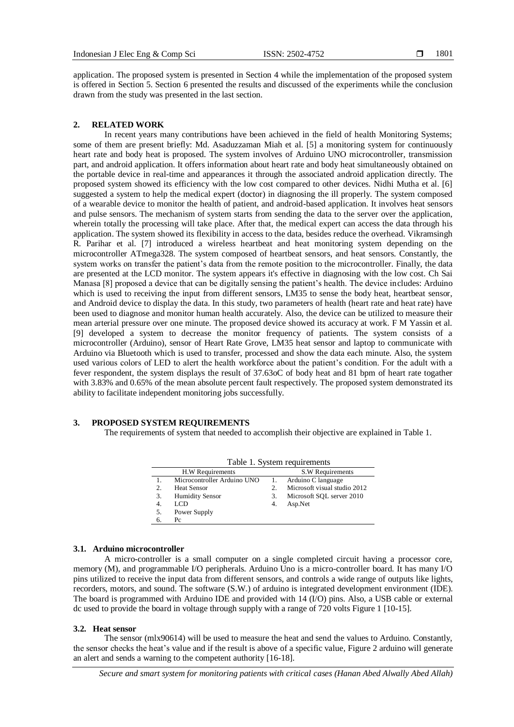application. The proposed system is presented in Section 4 while the implementation of the proposed system is offered in Section 5. Section 6 presented the results and discussed of the experiments while the conclusion drawn from the study was presented in the last section.

# **2. RELATED WORK**

In recent years many contributions have been achieved in the field of health Monitoring Systems; some of them are present briefly: Md. Asaduzzaman Miah et al. [5] a monitoring system for continuously heart rate and body heat is proposed. The system involves of Arduino UNO microcontroller, transmission part, and android application. It offers information about heart rate and body heat simultaneously obtained on the portable device in real-time and appearances it through the associated android application directly. The proposed system showed its efficiency with the low cost compared to other devices. Nidhi Mutha et al. [6] suggested a system to help the medical expert (doctor) in diagnosing the ill properly. The system composed of a wearable device to monitor the health of patient, and android-based application. It involves heat sensors and pulse sensors. The mechanism of system starts from sending the data to the server over the application, wherein totally the processing will take place. After that, the medical expert can access the data through his application. The system showed its flexibility in access to the data, besides reduce the overhead. Vikramsingh R. Parihar et al. [7] introduced a wireless heartbeat and heat monitoring system depending on the microcontroller ATmega328. The system composed of heartbeat sensors, and heat sensors. Constantly, the system works on transfer the patient's data from the remote position to the microcontroller. Finally, the data are presented at the LCD monitor. The system appears it's effective in diagnosing with the low cost. Ch Sai Manasa [8] proposed a device that can be digitally sensing the patient's health. The device includes: Arduino which is used to receiving the input from different sensors, LM35 to sense the body heat, heartbeat sensor, and Android device to display the data. In this study, two parameters of health (heart rate and heat rate) have been used to diagnose and monitor human health accurately. Also, the device can be utilized to measure their mean arterial pressure over one minute. The proposed device showed its accuracy at work. F M Yassin et al. [9] developed a system to decrease the monitor frequency of patients. The system consists of a microcontroller (Arduino), sensor of Heart Rate Grove, LM35 heat sensor and laptop to communicate with Arduino via Bluetooth which is used to transfer, processed and show the data each minute. Also, the system used various colors of LED to alert the health workforce about the patient's condition. For the adult with a fever respondent, the system displays the result of 37.63oC of body heat and 81 bpm of heart rate togather with 3.83% and 0.65% of the mean absolute percent fault respectively. The proposed system demonstrated its ability to facilitate independent monitoring jobs successfully.

# **3. PROPOSED SYSTEM REQUIREMENTS**

The requirements of system that needed to accomplish their objective are explained in Table 1.

|    | Table 1. System requirements |                  |                              |  |  |  |  |  |
|----|------------------------------|------------------|------------------------------|--|--|--|--|--|
|    | H.W Requirements             | S.W Requirements |                              |  |  |  |  |  |
|    | Microcontroller Arduino UNO  |                  | Arduino C language           |  |  |  |  |  |
| 2. | <b>Heat Sensor</b>           | 2.               | Microsoft visual studio 2012 |  |  |  |  |  |
| 3. | <b>Humidity Sensor</b>       | 3.               | Microsoft SQL server 2010    |  |  |  |  |  |
| 4. | LCD                          | 4.               | Asp.Net                      |  |  |  |  |  |
| 5. | Power Supply                 |                  |                              |  |  |  |  |  |
| 6. | $P_{\rm C}$                  |                  |                              |  |  |  |  |  |

#### **3.1. Arduino microcontroller**

A micro-controller is a small computer on a single completed circuit having a processor core, memory (M), and programmable I/O peripherals. Arduino Uno is a micro-controller board. It has many I/O pins utilized to receive the input data from different sensors, and controls a wide range of outputs like lights, recorders, motors, and sound. The software (S.W.) of arduino is integrated development environment (IDE). The board is programmed with Arduino IDE and provided with 14 (I/O) pins. Also, a USB cable or external dc used to provide the board in voltage through supply with a range of 720 volts Figure 1 [10-15].

### **3.2. Heat sensor**

The sensor (mlx90614) will be used to measure the heat and send the values to Arduino. Constantly, the sensor checks the heat's value and if the result is above of a specific value, Figure 2 arduino will generate an alert and sends a warning to the competent authority [16-18].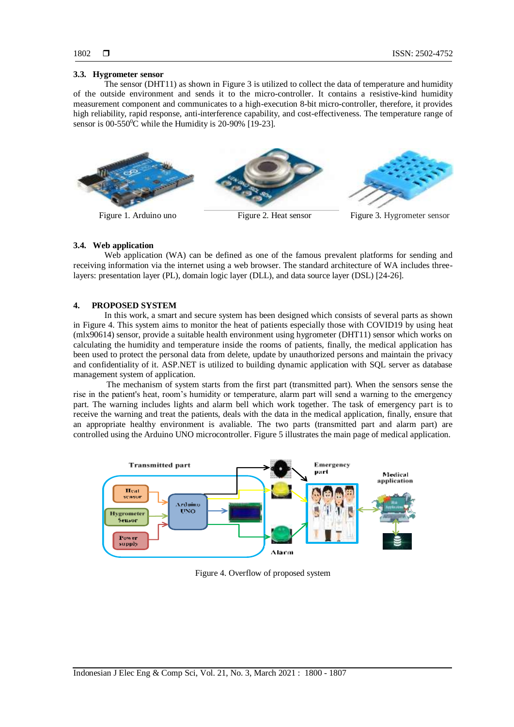#### **3.3. Hygrometer sensor**

The sensor (DHT11) as shown in Figure 3 is utilized to collect the data of temperature and humidity of the outside environment and sends it to the micro-controller. It contains a resistive-kind humidity measurement component and communicates to a high-execution 8-bit micro-controller, therefore, it provides high reliability, rapid response, anti-interference capability, and cost-effectiveness. The temperature range of sensor is  $00-550$ <sup>o</sup>C while the Humidity is 20-90% [19-23].



#### **3.4. Web application**

Web application (WA) can be defined as one of the famous prevalent platforms for sending and receiving information via the internet using a web browser. The standard architecture of WA includes threelayers: presentation layer (PL), domain logic layer (DLL), and data source layer (DSL) [24-26].

#### **4. PROPOSED SYSTEM**

In this work, a smart and secure system has been designed which consists of several parts as shown in Figure 4. This system aims to monitor the heat of patients especially those with COVID19 by using heat (mlx90614) sensor, provide a suitable health environment using hygrometer (DHT11) sensor which works on calculating the humidity and temperature inside the rooms of patients, finally, the medical application has been used to protect the personal data from delete, update by unauthorized persons and maintain the privacy and confidentiality of it. ASP.NET is utilized to building dynamic application with SQL server as database management system of application.

The mechanism of system starts from the first part (transmitted part). When the sensors sense the rise in the patient's heat, room's humidity or temperature, alarm part will send a warning to the emergency part. The warning includes lights and alarm bell which work together. The task of emergency part is to receive the warning and treat the patients, deals with the data in the medical application, finally, ensure that an appropriate healthy environment is avaliable. The two parts (transmitted part and alarm part) are controlled using the Arduino UNO microcontroller. Figure 5 illustrates the main page of medical application.



Figure 4. Overflow of proposed system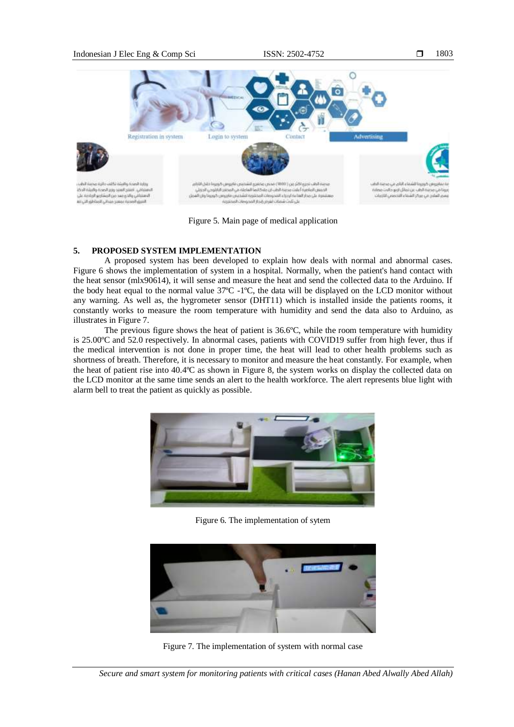

Figure 5. Main page of medical application

# **5. PROPOSED SYSTEM IMPLEMENTATION**

A proposed system has been developed to explain how deals with normal and abnormal cases. Figure 6 shows the implementation of system in a hospital. Normally, when the patient's hand contact with the heat sensor (mlx90614), it will sense and measure the heat and send the collected data to the Arduino. If the body heat equal to the normal value 37ºC -1ºC, the data will be displayed on the LCD monitor without any warning. As well as, the hygrometer sensor (DHT11) which is installed inside the patients rooms, it constantly works to measure the room temperature with humidity and send the data also to Arduino, as illustrates in Figure 7.

The previous figure shows the heat of patient is 36.6ºC, while the room temperature with humidity is 25.00ºC and 52.0 respectively. In abnormal cases, patients with COVID19 suffer from high fever, thus if the medical intervention is not done in proper time, the heat will lead to other health problems such as shortness of breath. Therefore, it is necessary to monitor and measure the heat constantly. For example, when the heat of patient rise into 40.4ºC as shown in Figure 8, the system works on display the collected data on the LCD monitor at the same time sends an alert to the health workforce. The alert represents blue light with alarm bell to treat the patient as quickly as possible.



Figure 6. The implementation of sytem



Figure 7. The implementation of system with normal case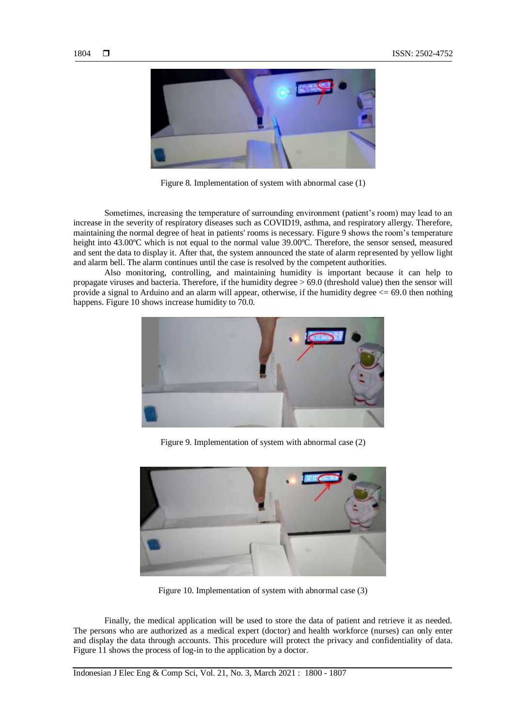

Figure 8. Implementation of system with abnormal case (1)

Sometimes, increasing the temperature of surrounding environment (patient's room) may lead to an increase in the severity of respiratory diseases such as COVID19, asthma, and respiratory allergy. Therefore, maintaining the normal degree of heat in patients' rooms is necessary. Figure 9 shows the room's temperature height into 43.00°C which is not equal to the normal value 39.00°C. Therefore, the sensor sensed, measured and sent the data to display it. After that, the system announced the state of alarm represented by yellow light and alarm bell. The alarm continues until the case is resolved by the competent authorities.

Also monitoring, controlling, and maintaining humidity is important because it can help to propagate viruses and bacteria. Therefore, if the humidity degree > 69.0 (threshold value) then the sensor will provide a signal to Arduino and an alarm will appear, otherwise, if the humidity degree  $\leq$  69.0 then nothing happens. Figure 10 shows increase humidity to 70.0.



Figure 9. Implementation of system with abnormal case (2)



Figure 10. Implementation of system with abnormal case (3)

Finally, the medical application will be used to store the data of patient and retrieve it as needed. The persons who are authorized as a medical expert (doctor) and health workforce (nurses) can only enter and display the data through accounts. This procedure will protect the privacy and confidentiality of data. Figure 11 shows the process of log-in to the application by a doctor.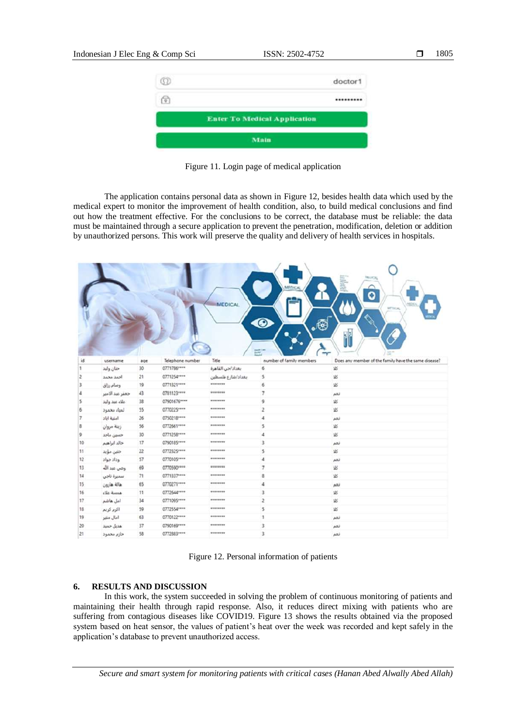

Figure 11. Login page of medical application

The application contains personal data as shown in Figure 12, besides health data which used by the medical expert to monitor the improvement of health condition, also, to build medical conclusions and find out how the treatment effective. For the conclusions to be correct, the database must be reliable: the data must be maintained through a secure application to prevent the penetration, modification, deletion or addition by unauthorized persons. This work will preserve the quality and delivery of health services in hospitals.

|    |                 |     |                  | <b>MEDICAL</b>    | MEDICA<br>$\odot$<br>⊛ه  | <b>MIGHTAL</b><br>О<br><b>MTTHONG</b><br>$\mathbf{r}(\cdot)$<br>٩. |
|----|-----------------|-----|------------------|-------------------|--------------------------|--------------------------------------------------------------------|
| id | username        | age | Telephone number | Title             | number of family members | Does any member of the family have the same disease?               |
|    | حنان ولهد       | 30  | 0771786****      | بغداد/حي القاهرة  | 6                        | 迟                                                                  |
|    | احمد محمد       | 21  | 0771254****      | بغداد/شارع فلسطين | 5                        | \$8                                                                |
|    | وسام رزاق       | 19  | 0771321****      | ********          | 6                        | <b>VS</b>                                                          |
|    | جعفر عبد الامير | 43  | 0781123****      | ********          | 7                        | تغم                                                                |
|    | علاء عبد ولبد   | 38  | 07901676 ****    | ********          | 9                        | 岩                                                                  |
| 6  | لمياء مخمود     | 55  | 0770225 ****     | ********          | $\overline{c}$           | \$8                                                                |
| T  | أملية أيأد      | 26  | 0750218 ****     | ********          | 4                        | لعم                                                                |
| 3  | زينة مروان      | 56  | 0772661****      | ********          | 5                        | 返                                                                  |
| 9  | حسين ماجد       | 30  | 0771258 ****     | ********          | 4                        | 返                                                                  |
| 10 | خالد ابراهيم    | 17  | 0790185 ****     | ********          | 3                        | نعم                                                                |
| 11 | خلين مؤيد       | 22  | 0772325****      | ********          | 5                        | 返                                                                  |
| 12 | وداد جواد       | 57  | 0770105****      | ********          | 4                        | نعم                                                                |
| 13 | وضي عبد الله    | 69  | 0770590 ****     | ********          | 7                        | 迟                                                                  |
| 14 | سميرة ناجي      | 71  | 0771337****      | ********          | å                        | 迟                                                                  |
| 15 | هالة هارون      | 65  | 0770271 ****     | ********          | 4                        | ARJ                                                                |
| 16 | the Rossa       | 11  | 0772644****      | ********          | 3                        | 迟                                                                  |
| 17 | امل هاشم        | 34  | 0771095 ****     | ********          | 2                        | 岩                                                                  |
| 18 | اکرم کریم       | 59  | 0772554****      | ********          | 5                        | \$35                                                               |
| 19 | امال منير       | 63  | 0770122 ****     | ********          |                          | نعم                                                                |
| 20 | هديل حميد       | 37  | 0790169****      | ********          | 3                        | زهم                                                                |
| 21 | خازم محمود      | 58  | 0772883 ****     | ********          | 3                        | نعم                                                                |

|  |  | Figure 12. Personal information of patients |  |
|--|--|---------------------------------------------|--|
|--|--|---------------------------------------------|--|

# **6. RESULTS AND DISCUSSION**

In this work, the system succeeded in solving the problem of continuous monitoring of patients and maintaining their health through rapid response. Also, it reduces direct mixing with patients who are suffering from contagious diseases like COVID19. Figure 13 shows the results obtained via the proposed system based on heat sensor, the values of patient's heat over the week was recorded and kept safely in the application's database to prevent unauthorized access.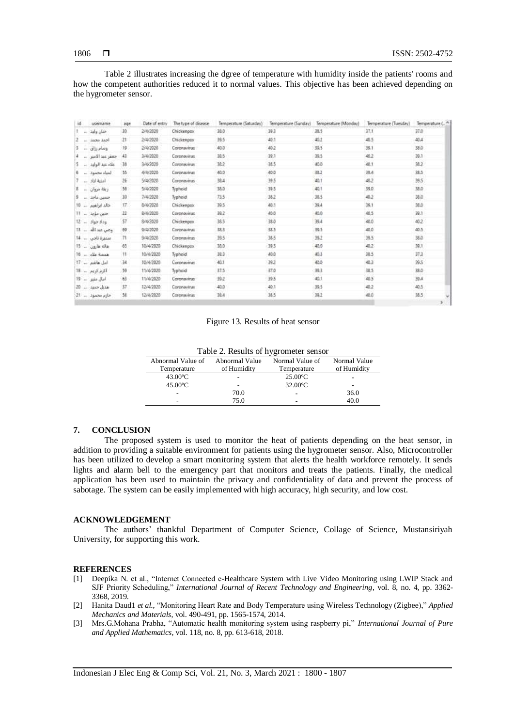Table 2 illustrates increasing the dgree of temperature with humidity inside the patients' rooms and how the competent authorities reduced it to normal values. This objective has been achieved depending on the hygrometer sensor.

| iđ | usemame                | age | Date of entry | The type of disease | Temperature (Saturday) | Temperature (Sunday) | Temperature (Monday) | Temperature (Tuesday) |            |
|----|------------------------|-----|---------------|---------------------|------------------------|----------------------|----------------------|-----------------------|------------|
|    | منان وليد —            | 30  | 2/4/2020      | Chickenpox          | 38.0                   | 39.3                 | 38.5                 | 37.1                  | 37.0       |
|    | أحمد محمد              | 21  | 2/4/2020      | Chickenpox          | 39.5                   | 40.1                 | 40.2                 | 40.5                  | 40.4       |
|    | وسام رزاق<br>$\sim$    | 19  | 2/4/2020      | Coronavirus         | 40.0                   | 40.2                 | 39.5                 | 39.1                  | 38.0       |
|    | جعفز عبد الامبر        | 43  | 3/4/2020      | Coronavirus         | 38.5                   | 39.1                 | 39.5                 | 40.2                  | 39.1       |
|    | ملاء مين الولين        | 38  | 3/4/2020      | Coronavirus         | 38.2                   | 38.5                 | 40.0                 | 40.1                  | 38.2       |
|    | لعناء محمود            | 坚   | 4/4/2020      | Coronavirus         | 40.0                   | 40.0                 | 38.2                 | 30.4                  | 38.5       |
|    | امنية اياد             | 26  | 5/4/2020      | Coronavirus         | 38.4                   | 39.5                 | 40.1                 | 40.2                  | 39.5       |
|    | $ \omega$ and $\omega$ | 56  | 5/4/2020      | Typhoid             | 38.0                   | 39.5                 | 40.1                 | 39.0                  | 35.0       |
|    |                        | 30  | 7/4/2020      | Typhoid             | 73.5                   | 38.2                 | 38.5                 | 40.2                  | 38.0       |
|    | خلد ابراهيم  10        | 17. | 8/4/2020      | Chickenpox.         | 39.5                   | 45.5                 | 39A                  | 39.1                  | 38.0       |
|    | حس مؤيد:  11           | 22  | 8/4/2020      | Coronavirus         | 39.2                   | 40.0                 | 40.0                 | 40.5                  | 39.1       |
|    | $12 = 36 + 3156$       | 57  | 8/4/2020      | Chickenpox          | 38.5                   | 38.0                 | 39.4                 | 40.0                  | 40.2       |
|    | وصى عبدالله ___ 13     | 69  | 9/4/2020      | Coronavirus:        | 38.3                   | 38.5                 | 39.5                 | 40.0                  | 40.5       |
|    | منمنرة ناجي  14        | 71  | 9/4/2020      | Coronavirus         | 19.5                   | 38.5                 | 39.2                 | 39.5                  | 38.0       |
|    | $15 - y$ also also     | 65  | 10/4/2020     | Chickenpox          | 38.0                   | 39.5                 | 40.0                 | 40.2                  | 39.1       |
|    | 16 - cle dans          | 11  | 10/4/2020     | Typhoid             | 38.3                   | 40.0                 | 40.3                 | 38.5                  | 37.3       |
|    | امل هاشم  17           | 34  | 10/4/2020     | Coronavirus         | 40.1                   | 39.2                 | 40.0                 | 40.3                  | 39.5       |
|    | اکرم کریم ۔ 18         | -59 | 11/4/2020     | Typhoid             | 37.5                   | 37.0                 | 39.3                 | 38.5                  | 38.0       |
|    | $19 - \mu\text{m}$     | 63  | 11/4/2020     | Coronavirus         | 39.2                   | 39.5                 | 40.1                 | 40.5                  | 39.4       |
|    | هنيل حسد  20           | 37  | 12/4/2020     | Coronavirus:        | 40.0                   | 40.1                 | 39.5                 | 40.2                  | 40.5       |
|    | خازم مخمود  21         | 扭   | 12/4/2020     | Coronavinus         | 38.4                   | 38.5                 | 39.2                 | 40.0                  | 38.5<br>۲ļ |
|    |                        |     |               |                     |                        |                      |                      |                       |            |

Figure 13. Results of heat sensor

| Abnormal Value of | Abnormal Value | Normal Value of   | Normal Value |
|-------------------|----------------|-------------------|--------------|
| Temperature       | of Humidity    | Temperature       | of Humidity  |
| $43.00^{\circ}$ C | ۰              | $25.00^{\circ}$ C | ٠            |
| $45.00^{\circ}$ C | -              | $32.00^{\circ}$ C | ٠            |
|                   | 70.0           | $\blacksquare$    | 36.0         |
|                   | 75.0           | -                 | 40.0         |

#### **7. CONCLUSION**

The proposed system is used to monitor the heat of patients depending on the heat sensor, in addition to providing a suitable environment for patients using the hygrometer sensor. Also, Microcontroller has been utilized to develop a smart monitoring system that alerts the health workforce remotely. It sends lights and alarm bell to the emergency part that monitors and treats the patients. Finally, the medical application has been used to maintain the privacy and confidentiality of data and prevent the process of sabotage. The system can be easily implemented with high accuracy, high security, and low cost.

### **ACKNOWLEDGEMENT**

The authors' thankful Department of Computer Science, Collage of Science, Mustansiriyah University, for supporting this work.

#### **REFERENCES**

- [1] Deepika N. et al., "Internet Connected e-Healthcare System with Live Video Monitoring using LWIP Stack and SJF Priority Scheduling," *International Journal of Recent Technology and Engineering*, vol. 8, no. 4, pp. 3362- 3368, 2019.
- [2] Hanita Daud1 *et al.*, "Monitoring Heart Rate and Body Temperature using Wireless Technology (Zigbee)," *Applied Mechanics and Materials*, vol. 490-491, pp. 1565-1574, 2014.
- [3] Mrs.G.Mohana Prabha, "Automatic health monitoring system using raspberry pi," *International Journal of Pure and Applied Mathematics*, vol. 118, no. 8, pp. 613-618, 2018.